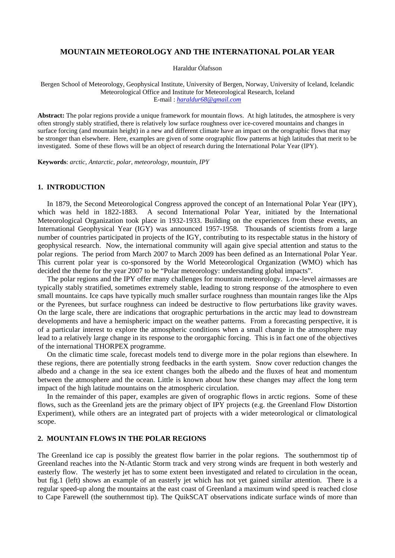## **MOUNTAIN METEOROLOGY AND THE INTERNATIONAL POLAR YEAR**

Haraldur Ólafsson

Bergen School of Meteorology, Geophysical Institute, University of Bergen, Norway, University of Iceland, Icelandic Meteorological Office and Institute for Meteorological Research, Iceland E-mail : *haraldur68@gmail.com*

**Abstract:** The polar regions provide a unique framework for mountain flows. At high latitudes, the atmosphere is very often strongly stably stratified, there is relatively low surface roughness over ice-covered mountains and changes in surface forcing (and mountain height) in a new and different climate have an impact on the orographic flows that may be stronger than elsewhere. Here, examples are given of some orographic flow patterns at high latitudes that merit to be investigated. Some of these flows will be an object of research during the International Polar Year (IPY).

**Keywords**: *arctic, Antarctic, polar, meteorology, mountain, IPY* 

## **1. INTRODUCTION**

In 1879, the Second Meteorological Congress approved the concept of an International Polar Year (IPY), which was held in 1822-1883. A second International Polar Year, initiated by the International Meteorological Organization took place in 1932-1933. Building on the experiences from these events, an International Geophysical Year (IGY) was announced 1957-1958. Thousands of scientists from a large number of countries participated in projects of the IGY, contributing to its respectable status in the history of geophysical research. Now, the international community will again give special attention and status to the polar regions. The period from March 2007 to March 2009 has been defined as an International Polar Year. This current polar year is co-sponsored by the World Meteorological Organization (WMO) which has decided the theme for the year 2007 to be "Polar meteorology: understanding global impacts".

The polar regions and the IPY offer many challenges for mountain meteorology. Low-level airmasses are typically stably stratified, sometimes extremely stable, leading to strong response of the atmosphere to even small mountains. Ice caps have typically much smaller surface roughness than mountain ranges like the Alps or the Pyrenees, but surface roughness can indeed be destructive to flow perturbations like gravity waves. On the large scale, there are indications that orographic perturbations in the arctic may lead to downstream developments and have a hemispheric impact on the weather patterns. From a forecasting perspective, it is of a particular interest to explore the atmospheric conditions when a small change in the atmosphere may lead to a relatively large change in its response to the ororgaphic forcing. This is in fact one of the objectives of the international THORPEX programme.

On the climatic time scale, forecast models tend to diverge more in the polar regions than elsewhere. In these regions, there are potentially strong feedbacks in the earth system. Snow cover reduction changes the albedo and a change in the sea ice extent changes both the albedo and the fluxes of heat and momentum between the atmosphere and the ocean. Little is known about how these changes may affect the long term impact of the high latitude mountains on the atmospheric circulation.

In the remainder of this paper, examples are given of orographic flows in arctic regions. Some of these flows, such as the Greenland jets are the primary object of IPY projects (e.g. the Greenland Flow Distortion Experiment), while others are an integrated part of projects with a wider meteorological or climatological scope.

## **2. MOUNTAIN FLOWS IN THE POLAR REGIONS**

The Greenland ice cap is possibly the greatest flow barrier in the polar regions. The southernmost tip of Greenland reaches into the N-Atlantic Storm track and very strong winds are frequent in both westerly and easterly flow. The westerly jet has to some extent been investigated and related to circulation in the ocean, but fig.1 (left) shows an example of an easterly jet which has not yet gained similar attention. There is a regular speed-up along the mountains at the east coast of Greenland a maximum wind speed is reached close to Cape Farewell (the southernmost tip). The QuikSCAT observations indicate surface winds of more than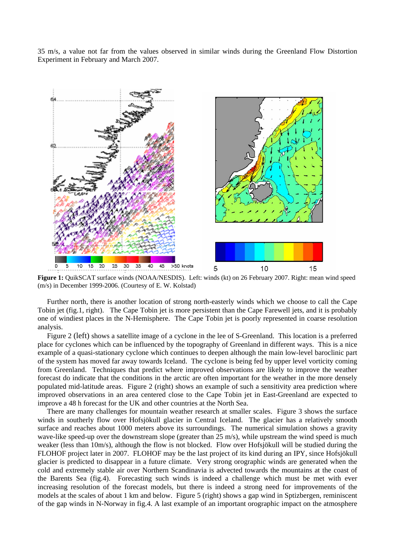35 m/s, a value not far from the values observed in similar winds during the Greenland Flow Distortion Experiment in February and March 2007.



(m/s) in December 1999-2006. (Courtesy of E. W. Kolstad)

Further north, there is another location of strong north-easterly winds which we choose to call the Cape Tobin jet (fig.1, right). The Cape Tobin jet is more persistent than the Cape Farewell jets, and it is probably one of windiest places in the N-Hemisphere. The Cape Tobin jet is poorly represented in coarse resolution analysis.

Figure 2 (left) shows a satellite image of a cyclone in the lee of S-Greenland. This location is a preferred place for cyclones which can be influenced by the topography of Greenland in different ways. This is a nice example of a quasi-stationary cyclone which continues to deepen although the main low-level baroclinic part of the system has moved far away towards Iceland. The cyclone is being fed by upper level vorticity coming from Greenland. Techniques that predict where improved observations are likely to improve the weather forecast do indicate that the conditions in the arctic are often important for the weather in the more densely populated mid-latitude areas. Figure 2 (right) shows an example of such a sensitivity area prediction where improved observations in an area centered close to the Cape Tobin jet in East-Greenland are expected to improve a 48 h forecast for the UK and other countries at the North Sea.

There are many challenges for mountain weather research at smaller scales. Figure 3 shows the surface winds in southerly flow over Hofsjökull glacier in Central Iceland. The glacier has a relatively smooth surface and reaches about 1000 meters above its surroundings. The numerical simulation shows a gravity wave-like speed-up over the downstream slope (greater than 25 m/s), while upstream the wind speed is much weaker (less than 10m/s), although the flow is not blocked. Flow over Hofsjökull will be studied during the FLOHOF project later in 2007. FLOHOF may be the last project of its kind during an IPY, since Hofsjökull glacier is predicted to disappear in a future climate. Very strong orographic winds are generated when the cold and extremely stable air over Northern Scandinavia is advected towards the mountains at the coast of the Barents Sea (fig.4). Forecasting such winds is indeed a challenge which must be met with ever increasing resolution of the forecast models, but there is indeed a strong need for improvements of the models at the scales of about 1 km and below. Figure 5 (right) shows a gap wind in Sptizbergen, reminiscent of the gap winds in N-Norway in fig.4. A last example of an important orographic impact on the atmosphere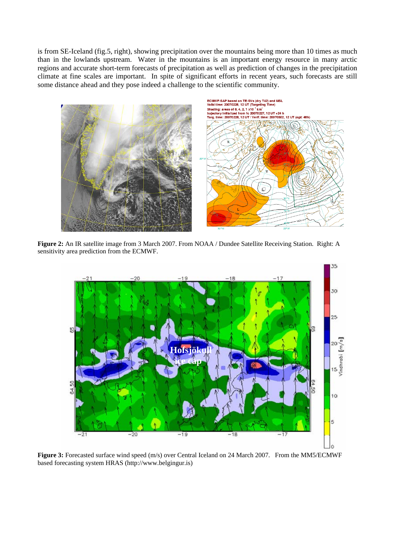is from SE-Iceland (fig.5, right), showing precipitation over the mountains being more than 10 times as much than in the lowlands upstream. Water in the mountains is an important energy resource in many arctic regions and accurate short-term forecasts of precipitation as well as prediction of changes in the precipitation climate at fine scales are important. In spite of significant efforts in recent years, such forecasts are still some distance ahead and they pose indeed a challenge to the scientific community.



**Figure 2:** An IR satellite image from 3 March 2007. From NOAA / Dundee Satellite Receiving Station. Right: A sensitivity area prediction from the ECMWF.



**Figure 3:** Forecasted surface wind speed (m/s) over Central Iceland on 24 March 2007. From the MM5/ECMWF based forecasting system HRAS (http://www.belgingur.is)